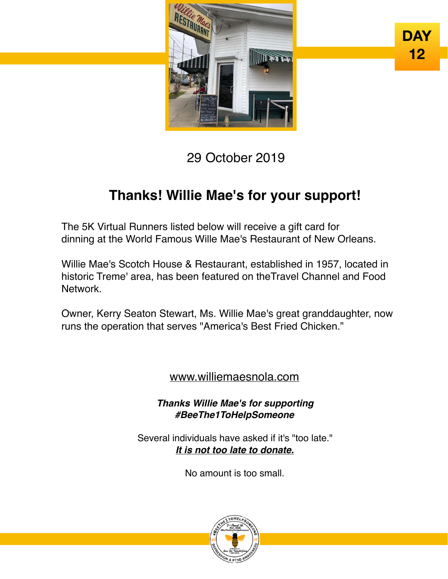

DAY

**12**

## 29 October 2019

# **Thanks! Willie Mae's for your support!**

The 5K Virtual Runners listed below will receive a gift card for dinning at the World Famous Wille Mae's Restaurant of New Orleans.

Willie Mae's Scotch House & Restaurant, established in 1957, located in historic Treme' area, has been featured on theTravel Channel and Food Network.

Owner, Kerry Seaton Stewart, Ms. Willie Mae's great granddaughter, now runs the operation that serves "America's Best Fried Chicken."

## [www.williemaesnola.com](http://links.ascendbywix.com/f/a/j0UmEZ4MSdxAOBLCQAHjrg~~/AABFVwA~/RgRfm4WsP4QWAWh0dHBzOi8vd3d3LmJlZXRoZTF0b2hlbHBzb21lb25lLmNvbS9zby82Yk11T2dvZGMvYz93PTFQanRpOUpTYTVxbGk2ZGZoazduUnQyWEhFU0tCUGdZeWZNWlRWU09Cd3cuZXlKMUlqb2lhSFIwY0hNNkx5OTNkM2N1ZDJsc2JHbGxiV0ZsYzI1dmJHRXVZMjl0SWl3aWNpSTZJamhoTldSaFpqVmpMV05pWldVdE5HVXhNQzB3TjJNNExUTXpOMlZsTnpreVpUZzRZaUlzSW0waU9pSnRZV2xzSWl3aVl5STZJamM1T1dabU5EaGhMV1ZtWmpjdE5ESTJNeTA1TVRVM0xUVXpNVGxoWm1JeVlUbGlPQ0o5VwNzcGNCCgAbrAC5XWhW0DdSFGxhdWJyb3duMDdAZ21haWwuY29tWAQAAC90)

## *Thanks Willie Mae's for supporting #BeeThe1ToHelpSomeone*

Several individuals have asked if it's "too late." *[It is not too late to donate.](https://www.beethe1tohelpsomeone.com/?utm_campaign=7e04c5b9-6956-4a80-ae2c-00cb1fb2e96b&utm_source=so&utm_medium=mail&cid=799ff48a-eff7-4263-9157-5319afb2a9b8)*

No amount is too small.